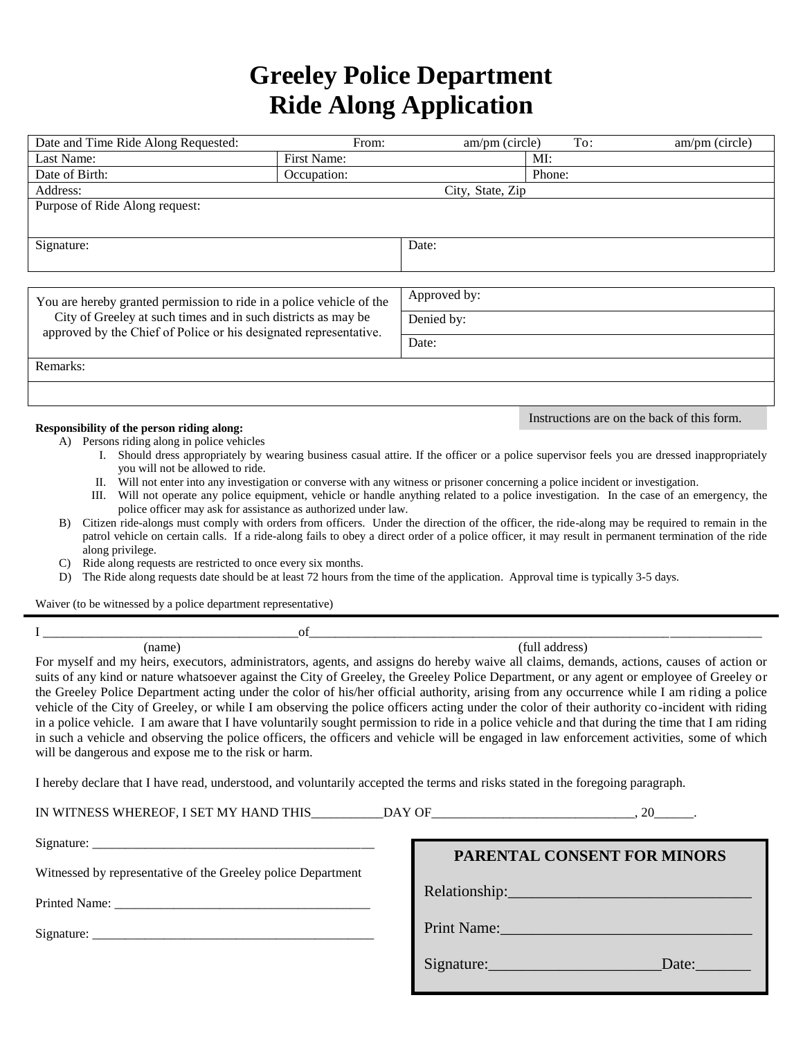## **Greeley Police Department Ride Along Application**

| Date and Time Ride Along Requested:                                                                                                                                                                                                                                                                                                                                                                                                                                                                                                                                                                                                                                                                                                                                                                                                                                                                                                                                                                                                                                                                                                                                                                       | From:                 | am/pm (circle)   | To: | am/pm (circle)                             |  |
|-----------------------------------------------------------------------------------------------------------------------------------------------------------------------------------------------------------------------------------------------------------------------------------------------------------------------------------------------------------------------------------------------------------------------------------------------------------------------------------------------------------------------------------------------------------------------------------------------------------------------------------------------------------------------------------------------------------------------------------------------------------------------------------------------------------------------------------------------------------------------------------------------------------------------------------------------------------------------------------------------------------------------------------------------------------------------------------------------------------------------------------------------------------------------------------------------------------|-----------------------|------------------|-----|--------------------------------------------|--|
| Last Name:                                                                                                                                                                                                                                                                                                                                                                                                                                                                                                                                                                                                                                                                                                                                                                                                                                                                                                                                                                                                                                                                                                                                                                                                | First Name:           |                  | MI: |                                            |  |
| Date of Birth:                                                                                                                                                                                                                                                                                                                                                                                                                                                                                                                                                                                                                                                                                                                                                                                                                                                                                                                                                                                                                                                                                                                                                                                            | Phone:<br>Occupation: |                  |     |                                            |  |
| Address:                                                                                                                                                                                                                                                                                                                                                                                                                                                                                                                                                                                                                                                                                                                                                                                                                                                                                                                                                                                                                                                                                                                                                                                                  |                       | City, State, Zip |     |                                            |  |
| Purpose of Ride Along request:                                                                                                                                                                                                                                                                                                                                                                                                                                                                                                                                                                                                                                                                                                                                                                                                                                                                                                                                                                                                                                                                                                                                                                            |                       |                  |     |                                            |  |
| Signature:                                                                                                                                                                                                                                                                                                                                                                                                                                                                                                                                                                                                                                                                                                                                                                                                                                                                                                                                                                                                                                                                                                                                                                                                |                       | Date:            |     |                                            |  |
|                                                                                                                                                                                                                                                                                                                                                                                                                                                                                                                                                                                                                                                                                                                                                                                                                                                                                                                                                                                                                                                                                                                                                                                                           |                       |                  |     |                                            |  |
| You are hereby granted permission to ride in a police vehicle of the<br>City of Greeley at such times and in such districts as may be<br>approved by the Chief of Police or his designated representative.<br>Remarks:                                                                                                                                                                                                                                                                                                                                                                                                                                                                                                                                                                                                                                                                                                                                                                                                                                                                                                                                                                                    |                       | Approved by:     |     |                                            |  |
|                                                                                                                                                                                                                                                                                                                                                                                                                                                                                                                                                                                                                                                                                                                                                                                                                                                                                                                                                                                                                                                                                                                                                                                                           |                       | Denied by:       |     |                                            |  |
|                                                                                                                                                                                                                                                                                                                                                                                                                                                                                                                                                                                                                                                                                                                                                                                                                                                                                                                                                                                                                                                                                                                                                                                                           |                       | Date:            |     |                                            |  |
|                                                                                                                                                                                                                                                                                                                                                                                                                                                                                                                                                                                                                                                                                                                                                                                                                                                                                                                                                                                                                                                                                                                                                                                                           |                       |                  |     |                                            |  |
|                                                                                                                                                                                                                                                                                                                                                                                                                                                                                                                                                                                                                                                                                                                                                                                                                                                                                                                                                                                                                                                                                                                                                                                                           |                       |                  |     |                                            |  |
| Responsibility of the person riding along:                                                                                                                                                                                                                                                                                                                                                                                                                                                                                                                                                                                                                                                                                                                                                                                                                                                                                                                                                                                                                                                                                                                                                                |                       |                  |     | Instructions are on the back of this form. |  |
| A) Persons riding along in police vehicles<br>I. Should dress appropriately by wearing business casual attire. If the officer or a police supervisor feels you are dressed inappropriately<br>you will not be allowed to ride.<br>II. Will not enter into any investigation or converse with any witness or prisoner concerning a police incident or investigation.<br>III. Will not operate any police equipment, vehicle or handle anything related to a police investigation. In the case of an emergency, the<br>police officer may ask for assistance as authorized under law.<br>Citizen ride-alongs must comply with orders from officers. Under the direction of the officer, the ride-along may be required to remain in the<br>B)<br>patrol vehicle on certain calls. If a ride-along fails to obey a direct order of a police officer, it may result in permanent termination of the ride<br>along privilege.<br>Ride along requests are restricted to once every six months.<br>C)<br>The Ride along requests date should be at least 72 hours from the time of the application. Approval time is typically 3-5 days.<br>D)<br>Waiver (to be witnessed by a police department representative) |                       |                  |     |                                            |  |
| of                                                                                                                                                                                                                                                                                                                                                                                                                                                                                                                                                                                                                                                                                                                                                                                                                                                                                                                                                                                                                                                                                                                                                                                                        |                       |                  |     |                                            |  |
| (name)<br>(full address)<br>For myself and my heirs, executors, administrators, agents, and assigns do hereby waive all claims, demands, actions, causes of action or<br>suits of any kind or nature whatsoever against the City of Greeley, the Greeley Police Department, or any agent or employee of Greeley or<br>the Greeley Police Department acting under the color of his/her official authority, arising from any occurrence while I am riding a police<br>vehicle of the City of Greeley, or while I am observing the police officers acting under the color of their authority co-incident with riding<br>in a police vehicle. I am aware that I have voluntarily sought permission to ride in a police vehicle and that during the time that I am riding<br>in such a vehicle and observing the police officers, the officers and vehicle will be engaged in law enforcement activities, some of which<br>will be dangerous and expose me to the risk or harm.                                                                                                                                                                                                                                |                       |                  |     |                                            |  |
| I hereby declare that I have read, understood, and voluntarily accepted the terms and risks stated in the foregoing paragraph.                                                                                                                                                                                                                                                                                                                                                                                                                                                                                                                                                                                                                                                                                                                                                                                                                                                                                                                                                                                                                                                                            |                       |                  |     |                                            |  |
|                                                                                                                                                                                                                                                                                                                                                                                                                                                                                                                                                                                                                                                                                                                                                                                                                                                                                                                                                                                                                                                                                                                                                                                                           |                       |                  |     |                                            |  |
|                                                                                                                                                                                                                                                                                                                                                                                                                                                                                                                                                                                                                                                                                                                                                                                                                                                                                                                                                                                                                                                                                                                                                                                                           |                       |                  |     | PARENTAL CONSENT FOR MINORS                |  |
| Witnessed by representative of the Greeley police Department                                                                                                                                                                                                                                                                                                                                                                                                                                                                                                                                                                                                                                                                                                                                                                                                                                                                                                                                                                                                                                                                                                                                              |                       |                  |     |                                            |  |
|                                                                                                                                                                                                                                                                                                                                                                                                                                                                                                                                                                                                                                                                                                                                                                                                                                                                                                                                                                                                                                                                                                                                                                                                           |                       |                  |     |                                            |  |
|                                                                                                                                                                                                                                                                                                                                                                                                                                                                                                                                                                                                                                                                                                                                                                                                                                                                                                                                                                                                                                                                                                                                                                                                           |                       | Print Name:      |     |                                            |  |
|                                                                                                                                                                                                                                                                                                                                                                                                                                                                                                                                                                                                                                                                                                                                                                                                                                                                                                                                                                                                                                                                                                                                                                                                           |                       |                  |     | Signature: Date:                           |  |